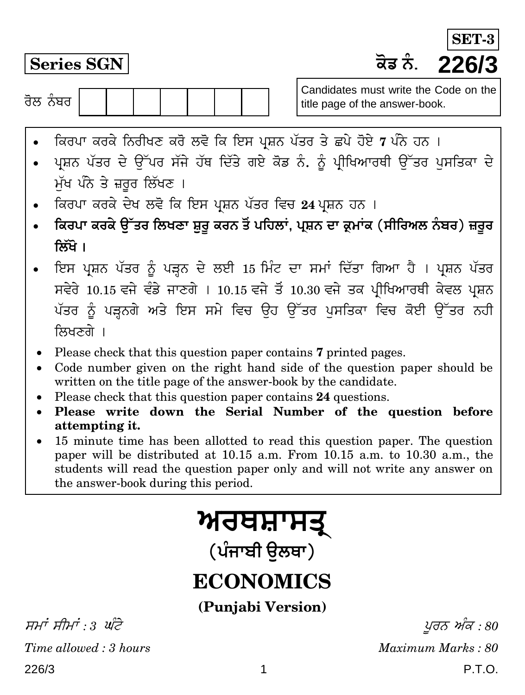**Series SGN H}T ²¥¾. 226/3 SET-3**

ਰੋਲ ਨੰਬਰ  $\overline{\phantom{a}}$ 

Candidates must write the Code on the title page of the answer-book.

- ਕਿਰਪਾ ਕਰਕੇ ਨਿਰੀਖਣ ਕਰੋ ਲਵੋ ਕਿ ਇਸ ਪ੍ਰਸ਼ਨ ਪੱਤਰ ਤੇ ਛਪੇ ਹੋਏ 7 ਪੰਨੇ ਹਨ ।
- ਪ੍ਰਸ਼ਨ ਪੱਤਰ ਦੇ ਉੱਪਰ ਸੱਜੇ ਹੱਥ ਦਿੱਤੇ ਗਏ ਕੋਡ ਨੰ. ਨੂੰ ਪ੍ਰੀਖਿਆਰਥੀ ਉੱਤਰ ਪਸਤਿਕਾ ਦੇ ਮੱਖ ਪੰਨੇ ਤੇ ਜ਼ਰਰ ਲਿੱਖਣ**।**
- । ਕਿਰਪਾ ਕਰਕੇ ਦੇਖ ਲਵੋ ਕਿ ਇਸ ਪ੍ਰਸ਼ਨ ਪੱਤਰ ਵਿਚ 24 ਪ੍ਰਸ਼ਨ ਹਨ ।
- ਕਿਰਪਾ ਕਰਕੇ ਉੱਤਰ ਲਿਖਣਾ ਸ਼ਰ ਕਰਨ ਤੋਂ ਪਹਿਲਾਂ, ਪ੍ਰਸ਼ਨ ਦਾ ਕ੍ਰਮਾਂਕ (ਸੀਰਿਅਲ ਨੰਬਰ) ਜ਼ਰਰ **क्रिंगे** ।
- ਇਸ ਪ੍ਰਸ਼ਨ ਪੱਤਰ ਨੂੰ ਪੜ੍ਹਨ ਦੇ ਲਈ 15 ਮਿੰਟ ਦਾ ਸਮਾਂ ਦਿੱਤਾ ਗਿਆ ਹੈ । ਪ੍ਰਸ਼ਨ ਪੱਤਰ ਸਵੇਰੇ 10.15 ਵਜੇ ਵੰਡੇ ਜਾਣਗੇ । 10.15 ਵਜੇ ਤੋਂ 10.30 ਵਜੇ ਤਕ ਪੀਖਿਆਰਥੀ ਕੇਵਲ ਪਸ਼ਨ ਪੱਤਰ ਨੂੰ ਪੜ੍ਹਨਗੇ ਅਤੇ ਇਸ ਸਮੇ ਵਿਚ ਉਹ ਉੱਤਰ ਪਸਤਿਕਾ ਵਿਚ ਕੋਈ ਉੱਤਰ ਨਹੀ ਲਿਖਣਗੇ ।
- Please check that this question paper contains **7** printed pages.
- Code number given on the right hand side of the question paper should be written on the title page of the answer-book by the candidate.
- Please check that this question paper contains **24** questions.
- **Please write down the Serial Number of the question before attempting it.**
- 15 minute time has been allotted to read this question paper. The question paper will be distributed at 10.15 a.m. From 10.15 a.m. to 10.30 a.m., the students will read the question paper only and will not write any answer on the answer-book during this period.

# <u>ਅਰਥਸ਼ਾਸਤ੍</u>

(ਪੰਜਾਬੀ **ੳਲ**ਥਾ)

## **ECONOMICS**

**(Punjabi Version)**

226/3 1 P.T.O. ਸਮਾਂ ਸੀਮਾਂ : 3 ਘੰਟੇ $y \in \mathcal{S}$  ,  $y \in \mathcal{S}$ *Time allowed : 3 hours Maximum Marks : 80*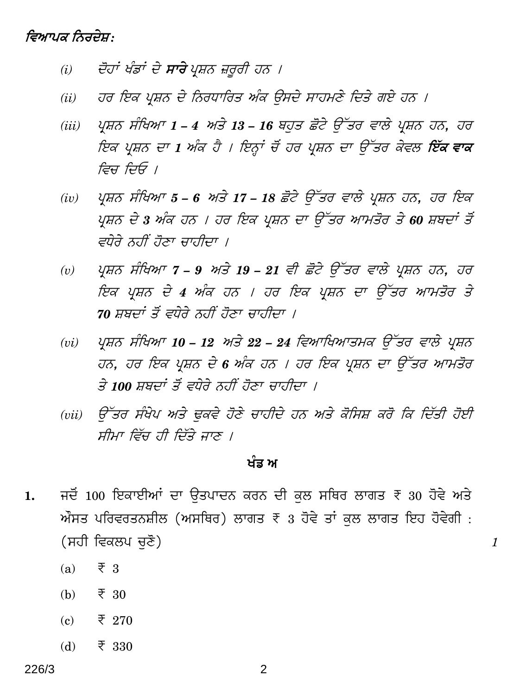### ਵਿਆਪਕ ਨਿਰਦੇਸ਼:

- ਦੋਹਾਂ ਖੰਡਾਂ ਦੇ **ਸਾਰੇ** ਪੁਸ਼ਨ ਜ਼ਰਰੀ ਹਨ ।  $(i)$
- ਹਰ ਇਕ ਪ੍ਰਸ਼ਨ ਦੇ ਨਿਰਧਾਰਿਤ ਅੰਕ ਉਸਦੇ ਸਾਹਮਣੇ ਦਿਤੇ ਗਏ ਹਨ ।  $(ii)$
- ਪਸ਼ਨ ਸੰਖਿਆ 1 4 ਅਤੇ 13 16 ਬਹੁਤ ਛੋਟੇ ਉੱਤਰ ਵਾਲੇ ਪ੍ਰਸ਼ਨ ਹਨ, ਹਰ  $(iii)$ ਇਕ ਪ੍ਰਸ਼ਨ ਦਾ 1 ਅੰਕ ਹੈ । ਇਨ੍ਹਾਂ ਚੋਂ ਹਰ ਪ੍ਰਸ਼ਨ ਦਾ ਉੱਤਰ ਕੇਵਲ **ਇੱਕ ਵਾਕ** ਵਿਚ ਦਿਓ ।
- ਪ੍ਰਸ਼ਨ ਸੰਖਿਆ 5 6 ਅਤੇ 17 18 ਛੋਟੇ ਉੱਤਰ ਵਾਲੇ ਪ੍ਰਸ਼ਨ ਹਨ, ਹਰ ਇਕ  $(iv)$ ਪ੍ਰਸ਼ਨ ਦੇ 3 ਅੰਕ ਹਨ । ਹਰ ਇਕ ਪ੍ਰਸ਼ਨ ਦਾ ਉੱਤਰ ਆਮਤੋਰ ਤੇ 60 ਸ਼ਬਦਾਂ ਤੋਂ ਵਧੇਰੇ ਨਹੀਂ ਹੋਣਾ ਚਾਹੀਦਾ ।
- ਪ੍ਰਸ਼ਨ ਸੰਖਿਆ 7 9 ਅਤੇ 19 21 ਵੀ ਛੋਟੇ ਉੱਤਰ ਵਾਲੇ ਪ੍ਰਸ਼ਨ ਹਨ, ਹਰ  $(v)$ ਇਕ ਪ੍ਰਸ਼ਨ ਦੇ 4 ਅੰਕ ਹਨ । ਹਰ ਇਕ ਪ੍ਰਸ਼ਨ ਦਾ ਉੱਤਰ ਆਮਤੋਰ ਤੇ 70 ਸ਼ਬਦਾਂ ਤੋਂ ਵਧੇਰੇ ਨਹੀਂ ਹੋਣਾ ਚਾਹੀਦਾ ।
- ਪ੍ਰਸ਼ਨ ਸੰਖਿਆ 10 12 ਅਤੇ 22 24 ਵਿਆਖਿਆਤਮਕ ਉੱਤਰ ਵਾਲੇ ਪ੍ਰਸ਼ਨ  $(vi)$ ਹਨ, ਹਰ ਇਕ ਪ੍ਰਸ਼ਨ ਦੇ 6 ਅੰਕ ਹਨ । ਹਰ ਇਕ ਪ੍ਰਸ਼ਨ ਦਾ ਉੱਤਰ ਆਮਤੋਰ ਤੇ 100 ਸਬਜਾਂ ਤੋਂ ਵਧੇਰੇ ਨਹੀਂ ਹੋਣਾ ਚਾਹੀਜਾ ।
- ਉੱਤਰ ਸੰਖੇਪ ਅਤੇ ਢਕਵੇ ਹੋਣੇ ਚਾਹੀਦੇ ਹਨ ਅਤੇ ਕੋਸਿਸ਼ ਕਰੋ ਕਿ ਦਿੱਤੀ ਹੋਈ  $(vii)$ ਸੀਮਾ ਵਿੱਚ ਹੀ ਦਿੱਤੇ ਜਾਣ ।

#### ਖੰਡ ਅ

 $\mathbf{1}$ 

- ਜਦੋਂ 100 ਇਕਾਈਆਂ ਦਾ ਉਤਪਾਦਨ ਕਰਨ ਦੀ ਕਲ ਸਥਿਰ ਲਾਗਤ ₹ 30 ਹੋਵੇ ਅਤੇ 1. ਔਸਤ ਪਰਿਵਰਤਨਸ਼ੀਲ (ਅਸਥਿਰ) ਲਾਗਤ  $\bar{x}$  3 ਹੋਵੇ ਤਾਂ ਕੁਲ ਲਾਗਤ ਇਹ ਹੋਵੇਗੀ : (ਸਹੀ ਵਿਕਲਪ ਚਣੋ)
	- $\overline{z}$  3  $(a)$
	- $(b)$  $\overline{\xi}$  30
	- $(c)$  $\overline{\xi}$  270
	- $(b)$  $\overline{\xi}$  330

2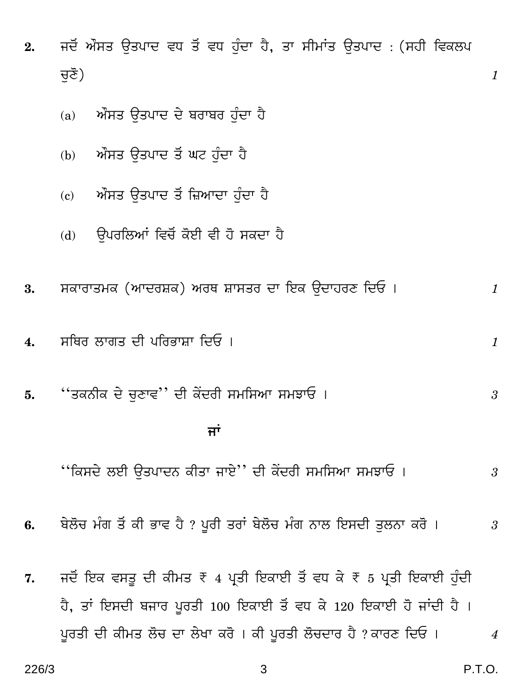- ਜਦੋਂ ਔਸਤ ਉਤਪਾਦ ਵਧ ਤੋਂ ਵਧ ਹੁੰਦਾ ਹੈ, ਤਾ ਸੀਮਾਂਤ ਉਤਪਾਦ : (ਸਹੀ ਵਿਕਲਪ  $2.$ ਚਣੋ)
	- ਔਸਤ ਉਤਪਾਦ ਦੇ ਬਰਾਬਰ ਹੰਦਾ ਹੈ  $(a)$
	- ਔਸਤ ਉਤਪਾਦ ਤੋਂ ਘਟ ਹੰਦਾ ਹੈ  $(b)$
	- ਔਸਤ ਉਤਪਾਦ ਤੋਂ ਜ਼ਿਆਦਾ ਹੰਦਾ ਹੈ  $\epsilon$
	- ਉਪਰਲਿਆਂ ਵਿਚੋਂ ਕੋਈ ਵੀ ਹੋ ਸਕਦਾ ਹੈ  $(b)$
- ਸਕਾਰਾਤਮਕ (ਆਦਰਸ਼ਕ) ਅਰਥ ਸ਼ਾਸਤਰ ਦਾ ਇਕ ਉਦਾਹਰਣ ਦਿਓ। 3.  $\mathbf{1}$
- ਸਥਿਰ ਲਾਗਤ ਦੀ ਪਰਿਭਾਸ਼ਾ ਦਿਓ ।  $\overline{4}$ .
- ''ਤਕਨੀਕ ਦੇ ਚਣਾਵ'' ਦੀ ਕੇਂਦਰੀ ਸਮਸਿਆ ਸਮਝਾਓ । 5. 3

#### ਜਾਂ

- ''ਕਿਸਦੇ ਲਈ ਉਤਪਾਦਨ ਕੀਤਾ ਜਾਏ'' ਦੀ ਕੇਂਦਰੀ ਸਮਸਿਆ ਸਮਝਾਓ ।  $\mathfrak{Z}$
- ਬੇਲੋਚ ਮੰਗ ਤੋਂ ਕੀ ਭਾਵ ਹੈ ? ਪੂਰੀ ਤਰਾਂ ਬੇਲੋਚ ਮੰਗ ਨਾਲ ਇਸਦੀ ਤਲਨਾ ਕਰੋ । 6.  $\mathfrak{3}$
- ਜਦੋਂ ਇਕ ਵਸਤੂ ਦੀ ਕੀਮਤ ₹ 4 ਪ੍ਰਤੀ ਇਕਾਈ ਤੋਂ ਵਧ ਕੇ ₹ 5 ਪ੍ਰਤੀ ਇਕਾਈ ਹੁੰਦੀ 7. ਹੈ, ਤਾਂ ਇਸਦੀ ਬਜਾਰ ਪੁਰਤੀ 100 ਇਕਾਈ ਤੋਂ ਵਧ ਕੇ 120 ਇਕਾਈ ਹੋ ਜਾਂਦੀ ਹੈ। ਪੂਰਤੀ ਦੀ ਕੀਮਤ ਲੋਚ ਦਾ ਲੇਖਾ ਕਰੋ । ਕੀ ਪੂਰਤੀ ਲੋਚਦਾਰ ਹੈ ? ਕਾਰਣ ਦਿਓ ।  $\overline{4}$

 $\mathcal{I}$ 

 $\mathcal{I}$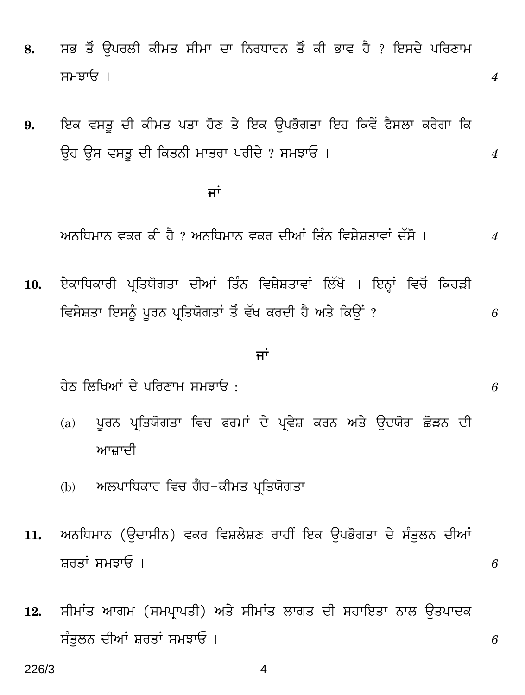- 8. ਸਭ ਤੋਂ ਉਪਰਲੀ ਕੀਮਤ ਸੀਮਾ ਦਾ ਨਿਰਧਾਰਨ ਤੋਂ ਕੀ ਭਾਵ ਹੈ ? ਇਸਦੇ ਪਰਿਣਾਮ g`PpG & *4*
- 9. ਇਕ ਵਸਤ ਦੀ ਕੀਮਤ ਪਤਾ ਹੋਣ ਤੇ ਇਕ ਉਪਭੋਗਤਾ ਇਹ ਕਿਵੇਂ ਫੈਸਲਾ ਕਰੇਗਾ ਕਿ Eh Eg egWv Yr qHW²¾r `pWcp IcrYy ? g`PpG & *4*

### ਿੰਦਰ ਸੀ। ਇਸ ਦੇ ਸ਼ਾਮਲ <mark>ਜਾਂ</mark>

<u>ਅਨਧਿਮਾਨ ਵਕਰ ਕੀ ਹੈ ? ਅਨਧਿਮਾਨ ਵਕਰ ਦੀਆਂ ਤਿੰਨ ਵਿਸ਼ੇਸ਼ਤਾਵਾਂ ਦੱਸੋ । 4</u>

10. ਏਕਾਧਿਕਾਰੀ ਪ੍ਰਤਿਯੋਗਤਾ ਦੀਆਂ ਤਿੰਨ ਵਿਸ਼ੇਸ਼ਤਾਵਾਂ ਲਿੱਖੋ । ਇਨ੍ਹਾਂ ਵਿਚੋਂ ਕਿਹੜੀ ਵਿਸੇਸ਼ਤਾ ਇਸਨੂੰ ਪੂਰਨ ਪ੍ਰਤਿਯੋਗਤਾਂ ਤੋਂ ਵੱਖ ਕਰਦੀ ਹੈ ਅਤੇ ਕਿੳਂਂ ? *6* 

#### <u>ਜਾਂ</u>

<u>ਹੇਠ ਲਿਖਿਆਂ ਦੇ ਪਰਿਣਾਮ ਸਮਝਾਓ :  $6$ </u>

- (a) ਪੂਰਨ ਪ੍ਰਤਿਯੋਗਤਾ ਵਿਚ ਫਰਮਾਂ ਦੇ ਪ੍ਰਵੇਸ਼ ਕਰਨ ਅਤੇ ਉਦਯੋਗ ਛੋੜਨ ਦੀ ਆਜ਼ਾਦੀ
- (b) ਅਲਪਾਧਿਕਾਰ ਵਿਚ ਗੈਰ-ਕੀਮਤ ਪਤਿਯੋਗਤਾ
- 11. ਅਨਧਿਮਾਨ (ੳਦਾਸੀਨ) ਵਕਰ ਵਿਸ਼ਲੇਸ਼ਣ ਰਾਹੀਂ ਇਕ ੳਪਭੋਗਤਾ ਦੇ ਸੰਤਲਨ ਦੀਆਂ ਸ਼ਰਤਾਂ ਸਮਝਾਓ ।  $6$
- 12. ਸੀਮਾਂਤ ਆਗਮ (ਸਮਪ੍ਰਾਪਤੀ) ਅਤੇ ਸੀਮਾਂਤ ਲਾਗਤ ਦੀ ਸਹਾਇਤਾ ਨਾਲ ਉਤਪਾਦਕ ਸੰਤਲਨ ਦੀਆਂ ਸ਼ਰਤਾਂ ਸਮਝਾਓ ।  $6$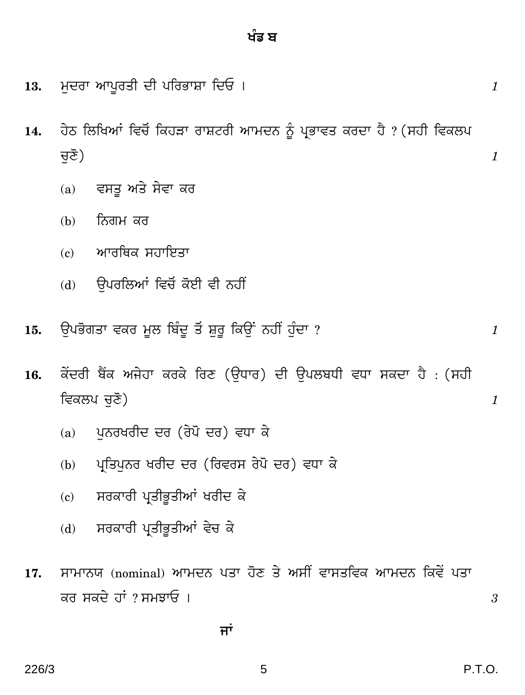5

226/3

- ਮਦਰਾ ਆਪਰਤੀ ਦੀ ਪਰਿਭਾਸ਼ਾ ਦਿਓ। 13.
- ਹੇਠ ਲਿਖਿਆਂ ਵਿਚੋਂ ਕਿਹੜਾ ਰਾਸ਼ਟਰੀ ਆਮਦਨ ਨੂੰ ਪ੍ਰਭਾਵਤ ਕਰਦਾ ਹੈ ? (ਸਹੀ ਵਿਕਲਪ  $14.$ ਚਣੋ)
	- ਵਸਤ ਅਤੇ ਸੇਵਾ ਕਰ  $(a)$
	- ਨਿਗਮ ਕਰ  $(b)$
	- ਆਰਥਿਕ ਸਹਾਇਤਾ  $\epsilon$
	- (d) ਉਪਰਲਿਆਂ ਵਿਚੋਂ ਕੋਈ ਵੀ ਨਹੀਂ
- ਉਪਭੋਗਤਾ ਵਕਰ ਮੂਲ ਬਿੰਦੂ ਤੋਂ ਸ਼ੁਰੂ ਕਿਉਂ ਨਹੀਂ ਹੰਦਾ ? 15.
- ਕੇਂਦਰੀ ਬੈਂਕ ਅਜੇਹਾ ਕਰਕੇ ਰਿਣ (ਉਧਾਰ) ਦੀ ਉਪਲਬਧੀ ਵਧਾ ਸਕਦਾ ਹੈ : (ਸਹੀ 16. ਵਿਕਲਪ ਚਣੋ)
	- ਪੁਨਰਖਰੀਦ ਦਰ (ਰੇਪੋ ਦਰ) ਵਧਾ ਕੇ  $(a)$
	- ਪਤਿਪਨਰ ਖਰੀਦ ਦਰ (ਰਿਵਰਸ ਰੇਪੋ ਦਰ) ਵਧਾ ਕੇ  $(b)$
	- ਸਰਕਾਰੀ ਪ੍ਰਤੀਭੂਤੀਆਂ ਖਰੀਦ ਕੇ  $(c)$
	- ਸਰਕਾਰੀ ਪ੍ਰਤੀਭੂਤੀਆਂ ਵੇਚ ਕੇ  $(d)$
- ਸਾਮਾਨਯ (nominal) ਆਮਦਨ ਪਤਾ ਹੋਣ ਤੇ ਅਸੀਂ ਵਾਸਤਵਿਕ ਆਮਦਨ ਕਿਵੇਂ ਪਤਾ 17. ਕਰ ਸਕਦੇ ਹਾਂ ? ਸਮਝਾਓ ।

ਜਾਂ

 $\mathfrak{z}$ 

**P.T.O.** 

 $\mathcal{I}_{\mathcal{L}}$ 

 $\mathcal{I}$ 

 $\mathcal{I}_{\mathcal{L}}$ 

 $\boldsymbol{\mathit{1}}$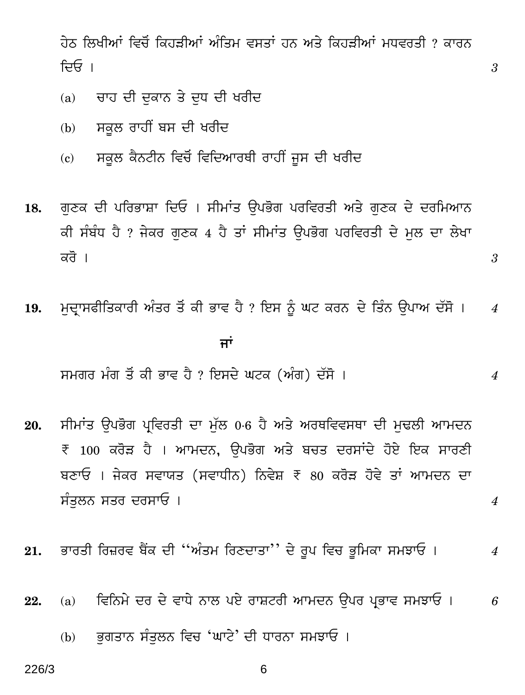ਹੇਨ ਲਿਖੀਆਂ ਵਿਚੋਂ ਕਿਹੜੀਆਂ ਅੰਤਿਮ ਵਸਤਾਂ ਹਨ ਅਤੇ ਕਿਹੜੀਆਂ ਮਧਵਰਤੀ ? ਕਾਰਨ ਦਿਓ ।

3

3

 $\overline{4}$ 

 $\overline{4}$ 

- ਚਾਹ ਦੀ ਦਕਾਨ ਤੇ ਦਧ ਦੀ ਖਰੀਦ  $(a)$
- ਸਕੂਲ ਰਾਹੀਂ ਬਸ ਦੀ ਖਰੀਦ  $(b)$
- ਸਕੂਲ ਕੈਨਟੀਨ ਵਿਚੋਂ ਵਿਦਿਆਰਥੀ ਰਾਹੀਂ ਜੂਸ ਦੀ ਖਰੀਦ  $\mathbf{c}$
- ਗੁਣਕ ਦੀ ਪਰਿਭਾਸ਼ਾ ਦਿਓ । ਸੀਮਾਂਤ ਉਪਭੋਗ ਪਰਵਿਰਤੀ ਅਤੇ ਗੁਣਕ ਦੇ ਦਰਮਿਆਨ 18. ਕੀ ਸੰਬੰਧ ਹੈ ? ਜੇਕਰ ਗਣਕ 4 ਹੈ ਤਾਂ ਸੀਮਾਂਤ ਉਪਭੋਗ ਪਰਵਿਰਤੀ ਦੇ ਮਲ ਦਾ ਲੇਖਾ ਕਰੋ ।
- ਮਦਾਸਫੀਤਿਕਾਰੀ ਅੰਤਰ ਤੋਂ ਕੀ ਭਾਵ ਹੈ ? ਇਸ ਨੂੰ ਘਟ ਕਰਨ ਦੇ ਤਿੰਨ ਉਪਾਅ ਦੱਸੋ । 19.  $\overline{4}$ ਜਾਂ

ਸਮਗਰ ਮੰਗ ਤੋਂ ਕੀ ਭਾਵ ਹੈ ? ਇਸਦੇ ਘਟਕ (ਅੰਗ) ਦੱਸੋ ।

- ਸੀਮਾਂਤ ਉਪਭੋਗ ਪਵਿਰਤੀ ਦਾ ਮੱਲ 0.6 ਹੈ ਅਤੇ ਅਰਥਵਿਵਸਥਾ ਦੀ ਮਢਲੀ ਆਮਦਨ 20. ₹ 100 ਕਰੋੜ ਹੈ । ਆਮਦਨ, ਉਪਭੋਗ ਅਤੇ ਬਚਤ ਦਰਸਾਂਦੇ ਹੋਏ ਇਕ ਸਾਰਣੀ ਬਣਾਓ । ਜੇਕਰ ਸਵਾਯਤ (ਸਵਾਧੀਨ) ਨਿਵੇਸ਼ ₹ 80 ਕਰੋੜ ਹੋਵੇ ਤਾਂ ਆਮਦਨ ਦਾ ਸੰਤਲਨ ਸਤਰ ਦਰਸਾਓ ।
- ਭਾਰਤੀ ਰਿਜ਼ਰਵ ਬੈਂਕ ਦੀ ''ਅੰਤਮ ਰਿਣਦਾਤਾ'' ਦੇ ਰੂਪ ਵਿਚ ਭੂਮਿਕਾ ਸਮਝਾਓ । 21.  $\overline{4}$
- ਵਿਨਿਮੇ ਦਰ ਦੇ ਵਾਧੇ ਨਾਲ ਪਏ ਰਾਸ਼ਟਰੀ ਆਮਦਨ ੳਪਰ ਪ੍ਰਭਾਵ ਸਮਝਾਓ । 22.  $(a)$ 6
	- ਭਗਤਾਨ ਸੰਤਲਨ ਵਿਚ 'ਘਾਟੇ' ਦੀ ਧਾਰਨਾ ਸਮਝਾਓ ।  $(b)$

226/3

6